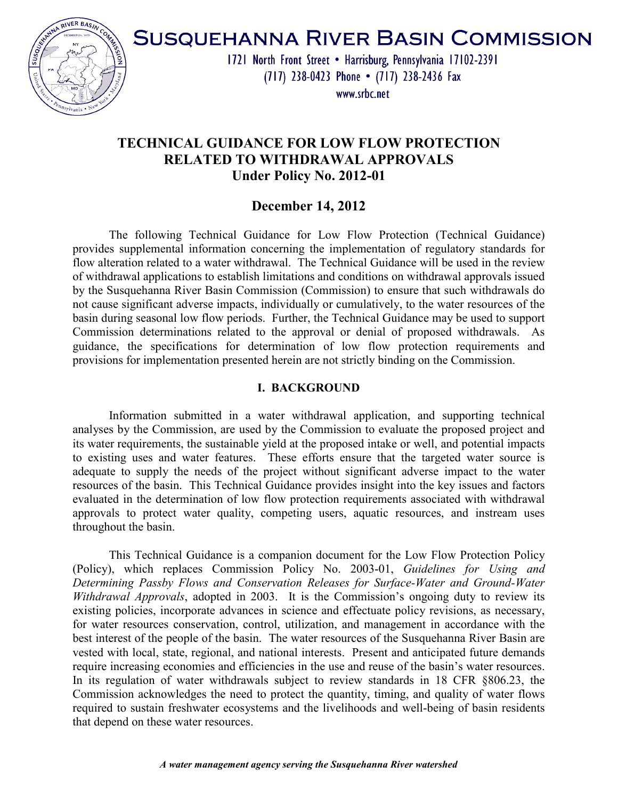

# **SUSQUEHANNA RIVER BASIN COMMISSION**

1721 North Front Street . Harrisburg, Pennsylvania 17102-2391 (717) 238-0423 Phone • (717) 238-2436 Fax

www.srbc.net

# **TECHNICAL GUIDANCE FOR LOW FLOW PROTECTION RELATED TO WITHDRAWAL APPROVALS Under Policy No. 2012-01**

# **December 14, 2012**

 The following Technical Guidance for Low Flow Protection (Technical Guidance) provides supplemental information concerning the implementation of regulatory standards for flow alteration related to a water withdrawal. The Technical Guidance will be used in the review of withdrawal applications to establish limitations and conditions on withdrawal approvals issued by the Susquehanna River Basin Commission (Commission) to ensure that such withdrawals do not cause significant adverse impacts, individually or cumulatively, to the water resources of the basin during seasonal low flow periods. Further, the Technical Guidance may be used to support Commission determinations related to the approval or denial of proposed withdrawals. As guidance, the specifications for determination of low flow protection requirements and provisions for implementation presented herein are not strictly binding on the Commission.

#### **I. BACKGROUND**

 Information submitted in a water withdrawal application, and supporting technical analyses by the Commission, are used by the Commission to evaluate the proposed project and its water requirements, the sustainable yield at the proposed intake or well, and potential impacts to existing uses and water features. These efforts ensure that the targeted water source is adequate to supply the needs of the project without significant adverse impact to the water resources of the basin. This Technical Guidance provides insight into the key issues and factors evaluated in the determination of low flow protection requirements associated with withdrawal approvals to protect water quality, competing users, aquatic resources, and instream uses throughout the basin.

This Technical Guidance is a companion document for the Low Flow Protection Policy (Policy), which replaces Commission Policy No. 2003-01, *Guidelines for Using and Determining Passby Flows and Conservation Releases for Surface-Water and Ground-Water Withdrawal Approvals*, adopted in 2003. It is the Commission's ongoing duty to review its existing policies, incorporate advances in science and effectuate policy revisions, as necessary, for water resources conservation, control, utilization, and management in accordance with the best interest of the people of the basin. The water resources of the Susquehanna River Basin are vested with local, state, regional, and national interests. Present and anticipated future demands require increasing economies and efficiencies in the use and reuse of the basin's water resources. In its regulation of water withdrawals subject to review standards in 18 CFR §806.23, the Commission acknowledges the need to protect the quantity, timing, and quality of water flows required to sustain freshwater ecosystems and the livelihoods and well-being of basin residents that depend on these water resources.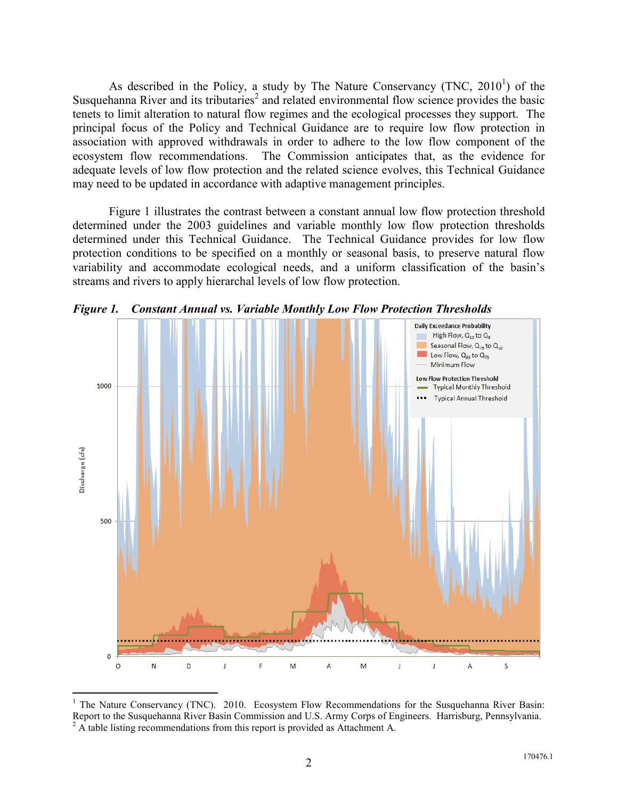As described in the Policy, a study by The Nature Conservancy  $(TNC, 2010<sup>1</sup>)$  of the Susquehanna River and its tributaries<sup>2</sup> and related environmental flow science provides the basic tenets to limit alteration to natural flow regimes and the ecological processes they support. The principal focus of the Policy and Technical Guidance are to require low flow protection in association with approved withdrawals in order to adhere to the low flow component of the ecosystem flow recommendations. The Commission anticipates that, as the evidence for adequate levels of low flow protection and the related science evolves, this Technical Guidance may need to be updated in accordance with adaptive management principles.

Figure 1 illustrates the contrast between a constant annual low flow protection threshold determined under the 2003 guidelines and variable monthly low flow protection thresholds determined under this Technical Guidance. The Technical Guidance provides for low flow protection conditions to be specified on a monthly or seasonal basis, to preserve natural flow variability and accommodate ecological needs, and a uniform classification of the basin's streams and rivers to apply hierarchal levels of low flow protection.



*Figure 1. Constant Annual vs. Variable Monthly Low Flow Protection Thresholds*

 $\overline{a}$ 

<sup>&</sup>lt;sup>1</sup> The Nature Conservancy (TNC). 2010. Ecosystem Flow Recommendations for the Susquehanna River Basin: Report to the Susquehanna River Basin Commission and U.S. Army Corps of Engineers. Harrisburg, Pennsylvania.  $2A$  table listing recommendations from this report is provided as Attachment A.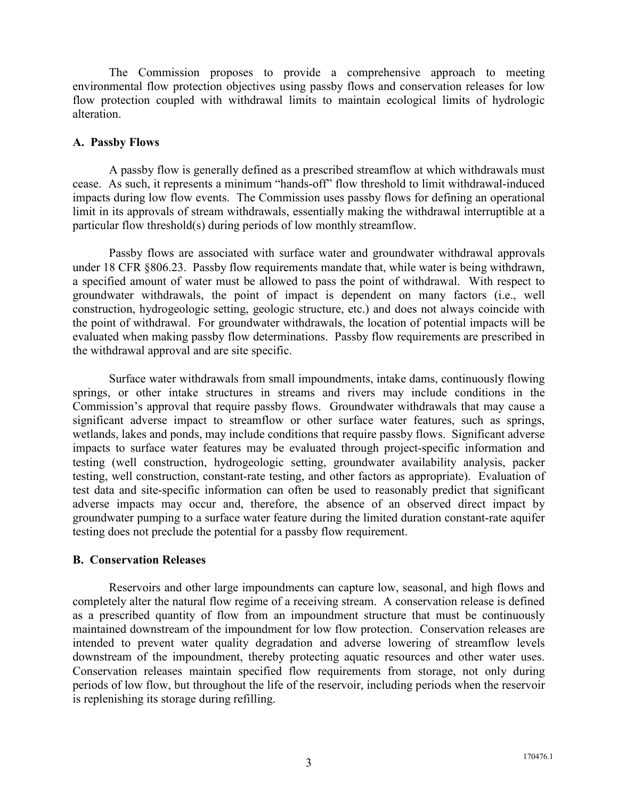The Commission proposes to provide a comprehensive approach to meeting environmental flow protection objectives using passby flows and conservation releases for low flow protection coupled with withdrawal limits to maintain ecological limits of hydrologic alteration.

#### **A. Passby Flows**

 A passby flow is generally defined as a prescribed streamflow at which withdrawals must cease. As such, it represents a minimum "hands-off" flow threshold to limit withdrawal-induced impacts during low flow events. The Commission uses passby flows for defining an operational limit in its approvals of stream withdrawals, essentially making the withdrawal interruptible at a particular flow threshold(s) during periods of low monthly streamflow.

 Passby flows are associated with surface water and groundwater withdrawal approvals under 18 CFR §806.23. Passby flow requirements mandate that, while water is being withdrawn, a specified amount of water must be allowed to pass the point of withdrawal. With respect to groundwater withdrawals, the point of impact is dependent on many factors (i.e., well construction, hydrogeologic setting, geologic structure, etc.) and does not always coincide with the point of withdrawal. For groundwater withdrawals, the location of potential impacts will be evaluated when making passby flow determinations. Passby flow requirements are prescribed in the withdrawal approval and are site specific.

 Surface water withdrawals from small impoundments, intake dams, continuously flowing springs, or other intake structures in streams and rivers may include conditions in the Commission's approval that require passby flows. Groundwater withdrawals that may cause a significant adverse impact to streamflow or other surface water features, such as springs, wetlands, lakes and ponds, may include conditions that require passby flows. Significant adverse impacts to surface water features may be evaluated through project-specific information and testing (well construction, hydrogeologic setting, groundwater availability analysis, packer testing, well construction, constant-rate testing, and other factors as appropriate). Evaluation of test data and site-specific information can often be used to reasonably predict that significant adverse impacts may occur and, therefore, the absence of an observed direct impact by groundwater pumping to a surface water feature during the limited duration constant-rate aquifer testing does not preclude the potential for a passby flow requirement.

#### **B. Conservation Releases**

 Reservoirs and other large impoundments can capture low, seasonal, and high flows and completely alter the natural flow regime of a receiving stream. A conservation release is defined as a prescribed quantity of flow from an impoundment structure that must be continuously maintained downstream of the impoundment for low flow protection. Conservation releases are intended to prevent water quality degradation and adverse lowering of streamflow levels downstream of the impoundment, thereby protecting aquatic resources and other water uses. Conservation releases maintain specified flow requirements from storage, not only during periods of low flow, but throughout the life of the reservoir, including periods when the reservoir is replenishing its storage during refilling.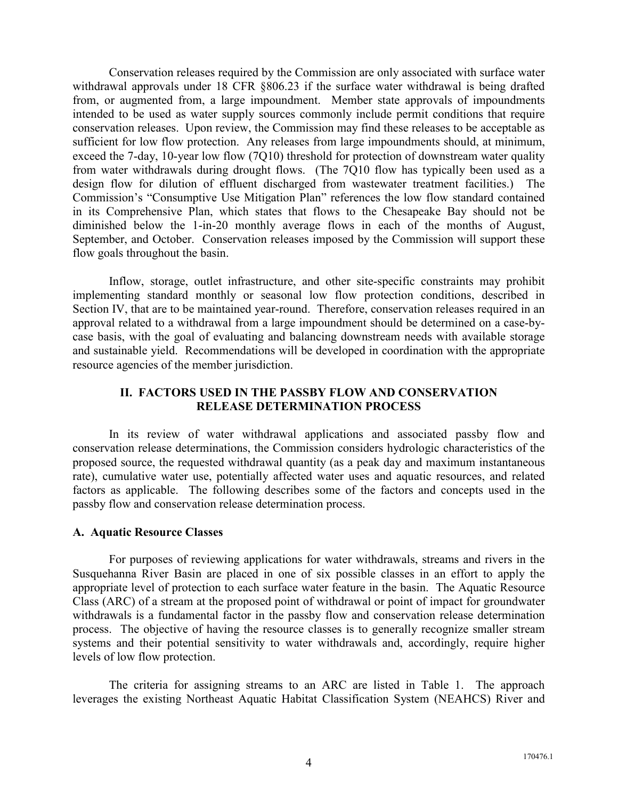Conservation releases required by the Commission are only associated with surface water withdrawal approvals under 18 CFR §806.23 if the surface water withdrawal is being drafted from, or augmented from, a large impoundment. Member state approvals of impoundments intended to be used as water supply sources commonly include permit conditions that require conservation releases. Upon review, the Commission may find these releases to be acceptable as sufficient for low flow protection. Any releases from large impoundments should, at minimum, exceed the 7-day, 10-year low flow (7Q10) threshold for protection of downstream water quality from water withdrawals during drought flows. (The 7Q10 flow has typically been used as a design flow for dilution of effluent discharged from wastewater treatment facilities.) The Commission's "Consumptive Use Mitigation Plan" references the low flow standard contained in its Comprehensive Plan, which states that flows to the Chesapeake Bay should not be diminished below the 1-in-20 monthly average flows in each of the months of August, September, and October. Conservation releases imposed by the Commission will support these flow goals throughout the basin.

 Inflow, storage, outlet infrastructure, and other site-specific constraints may prohibit implementing standard monthly or seasonal low flow protection conditions, described in Section IV, that are to be maintained year-round. Therefore, conservation releases required in an approval related to a withdrawal from a large impoundment should be determined on a case-bycase basis, with the goal of evaluating and balancing downstream needs with available storage and sustainable yield. Recommendations will be developed in coordination with the appropriate resource agencies of the member jurisdiction.

#### **II. FACTORS USED IN THE PASSBY FLOW AND CONSERVATION RELEASE DETERMINATION PROCESS**

 In its review of water withdrawal applications and associated passby flow and conservation release determinations, the Commission considers hydrologic characteristics of the proposed source, the requested withdrawal quantity (as a peak day and maximum instantaneous rate), cumulative water use, potentially affected water uses and aquatic resources, and related factors as applicable. The following describes some of the factors and concepts used in the passby flow and conservation release determination process.

#### **A. Aquatic Resource Classes**

For purposes of reviewing applications for water withdrawals, streams and rivers in the Susquehanna River Basin are placed in one of six possible classes in an effort to apply the appropriate level of protection to each surface water feature in the basin. The Aquatic Resource Class (ARC) of a stream at the proposed point of withdrawal or point of impact for groundwater withdrawals is a fundamental factor in the passby flow and conservation release determination process. The objective of having the resource classes is to generally recognize smaller stream systems and their potential sensitivity to water withdrawals and, accordingly, require higher levels of low flow protection.

The criteria for assigning streams to an ARC are listed in Table 1. The approach leverages the existing Northeast Aquatic Habitat Classification System (NEAHCS) River and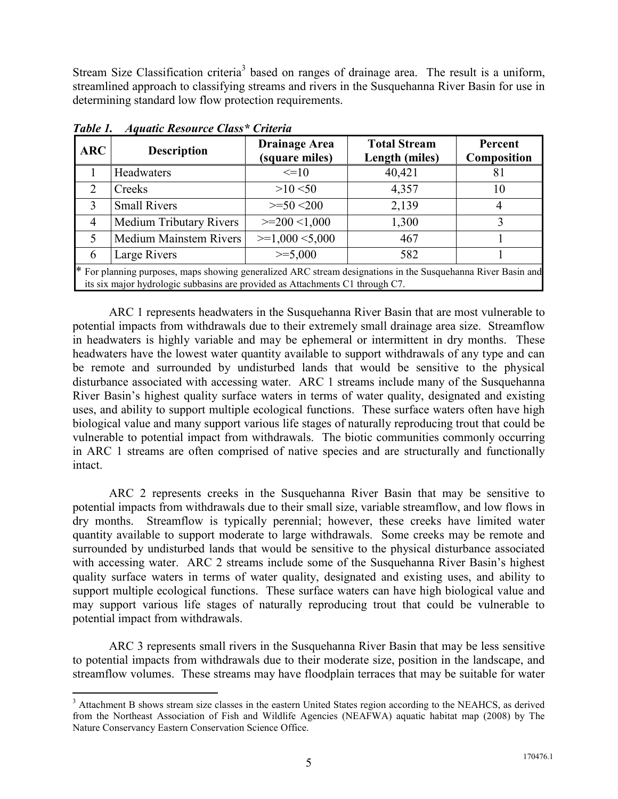Stream Size Classification criteria<sup>3</sup> based on ranges of drainage area. The result is a uniform, streamlined approach to classifying streams and rivers in the Susquehanna River Basin for use in determining standard low flow protection requirements.

| <b>ARC</b>                                                                                                                                                                                    | <b>Description</b>             | <b>Drainage Area</b><br>(square miles) | <b>Total Stream</b><br>Length (miles) | Percent<br>Composition |  |  |
|-----------------------------------------------------------------------------------------------------------------------------------------------------------------------------------------------|--------------------------------|----------------------------------------|---------------------------------------|------------------------|--|--|
|                                                                                                                                                                                               | Headwaters                     | $\leq$ =10                             | 40,421                                | 81                     |  |  |
| $\mathcal{D}_{\mathcal{L}}$                                                                                                                                                                   | Creeks                         | $>10$ < 50                             | 4,357                                 | 10                     |  |  |
| $\mathcal{R}$                                                                                                                                                                                 | <b>Small Rivers</b>            | $>=50$ $<200$                          | 2,139                                 | 4                      |  |  |
| $\overline{4}$                                                                                                                                                                                | <b>Medium Tributary Rivers</b> | $>=200$ <1,000                         | 1,300                                 | 3                      |  |  |
| 5                                                                                                                                                                                             | Medium Mainstem Rivers         | $>=1,000 \le 5,000$                    | 467                                   |                        |  |  |
| 6                                                                                                                                                                                             | Large Rivers                   | $>= 5,000$                             | 582                                   |                        |  |  |
| * For planning purposes, maps showing generalized ARC stream designations in the Susquehanna River Basin and<br>its six major hydrologic subbasins are provided as Attachments C1 through C7. |                                |                                        |                                       |                        |  |  |

*Table 1. Aquatic Resource Class\* Criteria* 

intact.

 $\overline{a}$ 

ARC 1 represents headwaters in the Susquehanna River Basin that are most vulnerable to potential impacts from withdrawals due to their extremely small drainage area size. Streamflow in headwaters is highly variable and may be ephemeral or intermittent in dry months. These headwaters have the lowest water quantity available to support withdrawals of any type and can be remote and surrounded by undisturbed lands that would be sensitive to the physical disturbance associated with accessing water. ARC 1 streams include many of the Susquehanna River Basin's highest quality surface waters in terms of water quality, designated and existing uses, and ability to support multiple ecological functions. These surface waters often have high biological value and many support various life stages of naturally reproducing trout that could be vulnerable to potential impact from withdrawals. The biotic communities commonly occurring in ARC 1 streams are often comprised of native species and are structurally and functionally

ARC 2 represents creeks in the Susquehanna River Basin that may be sensitive to potential impacts from withdrawals due to their small size, variable streamflow, and low flows in dry months. Streamflow is typically perennial; however, these creeks have limited water quantity available to support moderate to large withdrawals. Some creeks may be remote and surrounded by undisturbed lands that would be sensitive to the physical disturbance associated with accessing water. ARC 2 streams include some of the Susquehanna River Basin's highest quality surface waters in terms of water quality, designated and existing uses, and ability to support multiple ecological functions. These surface waters can have high biological value and may support various life stages of naturally reproducing trout that could be vulnerable to potential impact from withdrawals.

ARC 3 represents small rivers in the Susquehanna River Basin that may be less sensitive to potential impacts from withdrawals due to their moderate size, position in the landscape, and streamflow volumes. These streams may have floodplain terraces that may be suitable for water

<sup>&</sup>lt;sup>3</sup> Attachment B shows stream size classes in the eastern United States region according to the NEAHCS, as derived from the Northeast Association of Fish and Wildlife Agencies (NEAFWA) aquatic habitat map (2008) by The Nature Conservancy Eastern Conservation Science Office.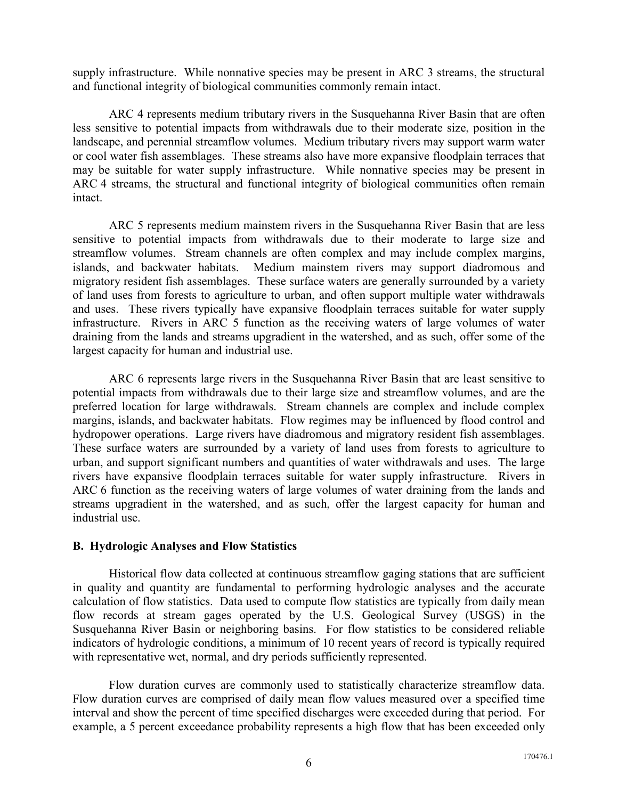supply infrastructure. While nonnative species may be present in ARC 3 streams, the structural and functional integrity of biological communities commonly remain intact.

ARC 4 represents medium tributary rivers in the Susquehanna River Basin that are often less sensitive to potential impacts from withdrawals due to their moderate size, position in the landscape, and perennial streamflow volumes. Medium tributary rivers may support warm water or cool water fish assemblages. These streams also have more expansive floodplain terraces that may be suitable for water supply infrastructure. While nonnative species may be present in ARC 4 streams, the structural and functional integrity of biological communities often remain intact.

 ARC 5 represents medium mainstem rivers in the Susquehanna River Basin that are less sensitive to potential impacts from withdrawals due to their moderate to large size and streamflow volumes. Stream channels are often complex and may include complex margins, islands, and backwater habitats. Medium mainstem rivers may support diadromous and migratory resident fish assemblages. These surface waters are generally surrounded by a variety of land uses from forests to agriculture to urban, and often support multiple water withdrawals and uses. These rivers typically have expansive floodplain terraces suitable for water supply infrastructure. Rivers in ARC 5 function as the receiving waters of large volumes of water draining from the lands and streams upgradient in the watershed, and as such, offer some of the largest capacity for human and industrial use.

 ARC 6 represents large rivers in the Susquehanna River Basin that are least sensitive to potential impacts from withdrawals due to their large size and streamflow volumes, and are the preferred location for large withdrawals. Stream channels are complex and include complex margins, islands, and backwater habitats. Flow regimes may be influenced by flood control and hydropower operations. Large rivers have diadromous and migratory resident fish assemblages. These surface waters are surrounded by a variety of land uses from forests to agriculture to urban, and support significant numbers and quantities of water withdrawals and uses. The large rivers have expansive floodplain terraces suitable for water supply infrastructure. Rivers in ARC 6 function as the receiving waters of large volumes of water draining from the lands and streams upgradient in the watershed, and as such, offer the largest capacity for human and industrial use.

#### **B. Hydrologic Analyses and Flow Statistics**

 Historical flow data collected at continuous streamflow gaging stations that are sufficient in quality and quantity are fundamental to performing hydrologic analyses and the accurate calculation of flow statistics. Data used to compute flow statistics are typically from daily mean flow records at stream gages operated by the U.S. Geological Survey (USGS) in the Susquehanna River Basin or neighboring basins. For flow statistics to be considered reliable indicators of hydrologic conditions, a minimum of 10 recent years of record is typically required with representative wet, normal, and dry periods sufficiently represented.

 Flow duration curves are commonly used to statistically characterize streamflow data. Flow duration curves are comprised of daily mean flow values measured over a specified time interval and show the percent of time specified discharges were exceeded during that period. For example, a 5 percent exceedance probability represents a high flow that has been exceeded only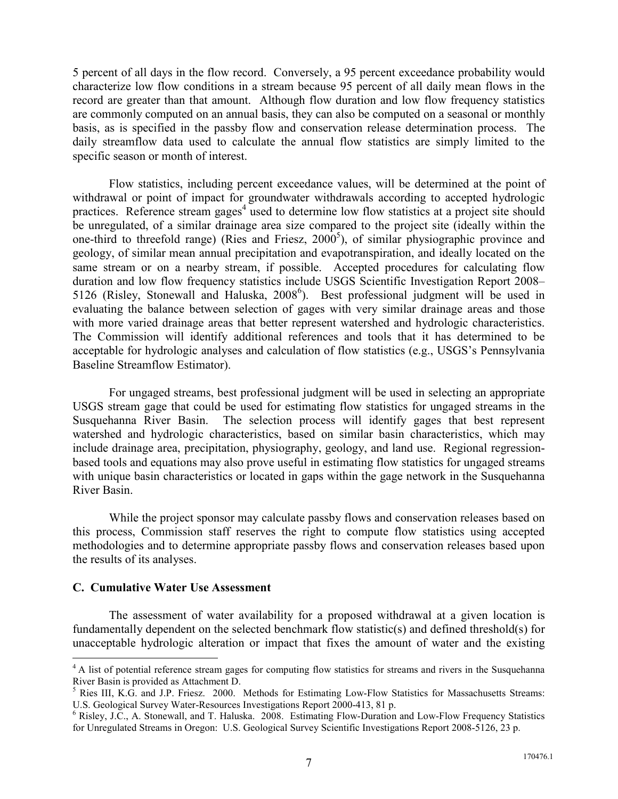5 percent of all days in the flow record. Conversely, a 95 percent exceedance probability would characterize low flow conditions in a stream because 95 percent of all daily mean flows in the record are greater than that amount. Although flow duration and low flow frequency statistics are commonly computed on an annual basis, they can also be computed on a seasonal or monthly basis, as is specified in the passby flow and conservation release determination process. The daily streamflow data used to calculate the annual flow statistics are simply limited to the specific season or month of interest.

 Flow statistics, including percent exceedance values, will be determined at the point of withdrawal or point of impact for groundwater withdrawals according to accepted hydrologic practices. Reference stream gages<sup>4</sup> used to determine low flow statistics at a project site should be unregulated, of a similar drainage area size compared to the project site (ideally within the one-third to threefold range) (Ries and Friesz, 2000 5 ), of similar physiographic province and geology, of similar mean annual precipitation and evapotranspiration, and ideally located on the same stream or on a nearby stream, if possible. Accepted procedures for calculating flow duration and low flow frequency statistics include USGS Scientific Investigation Report 2008– 5126 (Risley, Stonewall and Haluska, 2008<sup>6</sup>). Best professional judgment will be used in evaluating the balance between selection of gages with very similar drainage areas and those with more varied drainage areas that better represent watershed and hydrologic characteristics. The Commission will identify additional references and tools that it has determined to be acceptable for hydrologic analyses and calculation of flow statistics (e.g., USGS's Pennsylvania Baseline Streamflow Estimator).

 For ungaged streams, best professional judgment will be used in selecting an appropriate USGS stream gage that could be used for estimating flow statistics for ungaged streams in the Susquehanna River Basin. The selection process will identify gages that best represent watershed and hydrologic characteristics, based on similar basin characteristics, which may include drainage area, precipitation, physiography, geology, and land use. Regional regressionbased tools and equations may also prove useful in estimating flow statistics for ungaged streams with unique basin characteristics or located in gaps within the gage network in the Susquehanna River Basin.

 While the project sponsor may calculate passby flows and conservation releases based on this process, Commission staff reserves the right to compute flow statistics using accepted methodologies and to determine appropriate passby flows and conservation releases based upon the results of its analyses.

#### **C. Cumulative Water Use Assessment**

 $\overline{a}$ 

The assessment of water availability for a proposed withdrawal at a given location is fundamentally dependent on the selected benchmark flow statistic(s) and defined threshold(s) for unacceptable hydrologic alteration or impact that fixes the amount of water and the existing

<sup>&</sup>lt;sup>4</sup> A list of potential reference stream gages for computing flow statistics for streams and rivers in the Susquehanna River Basin is provided as Attachment D.

<sup>&</sup>lt;sup>5</sup> Ries III, K.G. and J.P. Friesz. 2000. Methods for Estimating Low-Flow Statistics for Massachusetts Streams: U.S. Geological Survey Water-Resources Investigations Report 2000-413, 81 p.

<sup>6</sup> Risley, J.C., A. Stonewall, and T. Haluska. 2008. Estimating Flow-Duration and Low-Flow Frequency Statistics for Unregulated Streams in Oregon: U.S. Geological Survey Scientific Investigations Report 2008-5126, 23 p.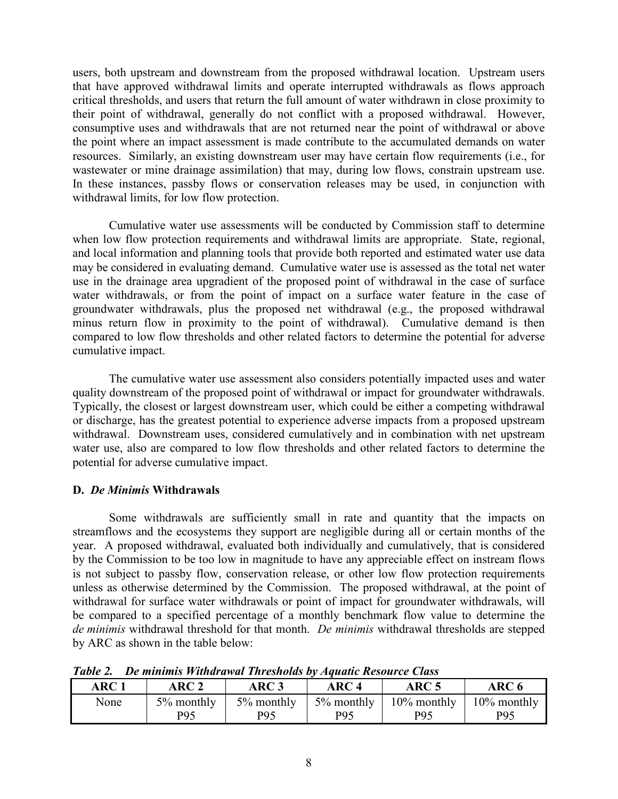users, both upstream and downstream from the proposed withdrawal location. Upstream users that have approved withdrawal limits and operate interrupted withdrawals as flows approach critical thresholds, and users that return the full amount of water withdrawn in close proximity to their point of withdrawal, generally do not conflict with a proposed withdrawal. However, consumptive uses and withdrawals that are not returned near the point of withdrawal or above the point where an impact assessment is made contribute to the accumulated demands on water resources. Similarly, an existing downstream user may have certain flow requirements (i.e., for wastewater or mine drainage assimilation) that may, during low flows, constrain upstream use. In these instances, passby flows or conservation releases may be used, in conjunction with withdrawal limits, for low flow protection.

Cumulative water use assessments will be conducted by Commission staff to determine when low flow protection requirements and withdrawal limits are appropriate. State, regional, and local information and planning tools that provide both reported and estimated water use data may be considered in evaluating demand. Cumulative water use is assessed as the total net water use in the drainage area upgradient of the proposed point of withdrawal in the case of surface water withdrawals, or from the point of impact on a surface water feature in the case of groundwater withdrawals, plus the proposed net withdrawal (e.g., the proposed withdrawal minus return flow in proximity to the point of withdrawal). Cumulative demand is then compared to low flow thresholds and other related factors to determine the potential for adverse cumulative impact.

The cumulative water use assessment also considers potentially impacted uses and water quality downstream of the proposed point of withdrawal or impact for groundwater withdrawals. Typically, the closest or largest downstream user, which could be either a competing withdrawal or discharge, has the greatest potential to experience adverse impacts from a proposed upstream withdrawal. Downstream uses, considered cumulatively and in combination with net upstream water use, also are compared to low flow thresholds and other related factors to determine the potential for adverse cumulative impact.

#### **D.** *De Minimis* **Withdrawals**

 Some withdrawals are sufficiently small in rate and quantity that the impacts on streamflows and the ecosystems they support are negligible during all or certain months of the year. A proposed withdrawal, evaluated both individually and cumulatively, that is considered by the Commission to be too low in magnitude to have any appreciable effect on instream flows is not subject to passby flow, conservation release, or other low flow protection requirements unless as otherwise determined by the Commission. The proposed withdrawal, at the point of withdrawal for surface water withdrawals or point of impact for groundwater withdrawals, will be compared to a specified percentage of a monthly benchmark flow value to determine the *de minimis* withdrawal threshold for that month. *De minimis* withdrawal thresholds are stepped by ARC as shown in the table below:

| 1 WUW 2.<br>ARC <sub>1</sub> | ARC 2             | - De muumo n unuruma Turesnoms of Aquate Resource Chuss<br>ARC 3 | ARC 4                                         | ARC <sub>5</sub> | ARC 6                                           |
|------------------------------|-------------------|------------------------------------------------------------------|-----------------------------------------------|------------------|-------------------------------------------------|
| None                         | 5% monthly<br>P95 | 5% monthly<br>P95                                                | $\frac{5\% \text{ monthly}}{2}$<br><b>P95</b> | <b>P95</b>       | $10\%$ monthly   10% monthly<br>P <sub>95</sub> |

*Table 2. De minimis Withdrawal Thresholds by Aquatic Resource Class*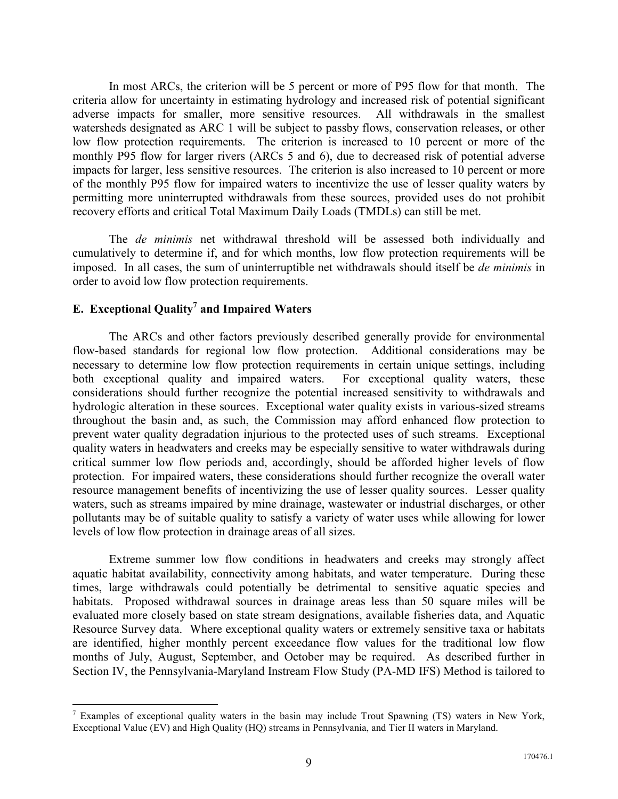In most ARCs, the criterion will be 5 percent or more of P95 flow for that month. The criteria allow for uncertainty in estimating hydrology and increased risk of potential significant adverse impacts for smaller, more sensitive resources. All withdrawals in the smallest watersheds designated as ARC 1 will be subject to passby flows, conservation releases, or other low flow protection requirements. The criterion is increased to 10 percent or more of the monthly P95 flow for larger rivers (ARCs 5 and 6), due to decreased risk of potential adverse impacts for larger, less sensitive resources. The criterion is also increased to 10 percent or more of the monthly P95 flow for impaired waters to incentivize the use of lesser quality waters by permitting more uninterrupted withdrawals from these sources, provided uses do not prohibit recovery efforts and critical Total Maximum Daily Loads (TMDLs) can still be met.

The *de minimis* net withdrawal threshold will be assessed both individually and cumulatively to determine if, and for which months, low flow protection requirements will be imposed. In all cases, the sum of uninterruptible net withdrawals should itself be *de minimis* in order to avoid low flow protection requirements.

## **E. Exceptional Quality<sup>7</sup> and Impaired Waters**

 $\overline{a}$ 

The ARCs and other factors previously described generally provide for environmental flow-based standards for regional low flow protection. Additional considerations may be necessary to determine low flow protection requirements in certain unique settings, including both exceptional quality and impaired waters. For exceptional quality waters, these considerations should further recognize the potential increased sensitivity to withdrawals and hydrologic alteration in these sources. Exceptional water quality exists in various-sized streams throughout the basin and, as such, the Commission may afford enhanced flow protection to prevent water quality degradation injurious to the protected uses of such streams. Exceptional quality waters in headwaters and creeks may be especially sensitive to water withdrawals during critical summer low flow periods and, accordingly, should be afforded higher levels of flow protection. For impaired waters, these considerations should further recognize the overall water resource management benefits of incentivizing the use of lesser quality sources. Lesser quality waters, such as streams impaired by mine drainage, wastewater or industrial discharges, or other pollutants may be of suitable quality to satisfy a variety of water uses while allowing for lower levels of low flow protection in drainage areas of all sizes.

Extreme summer low flow conditions in headwaters and creeks may strongly affect aquatic habitat availability, connectivity among habitats, and water temperature. During these times, large withdrawals could potentially be detrimental to sensitive aquatic species and habitats. Proposed withdrawal sources in drainage areas less than 50 square miles will be evaluated more closely based on state stream designations, available fisheries data, and Aquatic Resource Survey data. Where exceptional quality waters or extremely sensitive taxa or habitats are identified, higher monthly percent exceedance flow values for the traditional low flow months of July, August, September, and October may be required. As described further in Section IV, the Pennsylvania-Maryland Instream Flow Study (PA-MD IFS) Method is tailored to

<sup>&</sup>lt;sup>7</sup> Examples of exceptional quality waters in the basin may include Trout Spawning (TS) waters in New York, Exceptional Value (EV) and High Quality (HQ) streams in Pennsylvania, and Tier II waters in Maryland.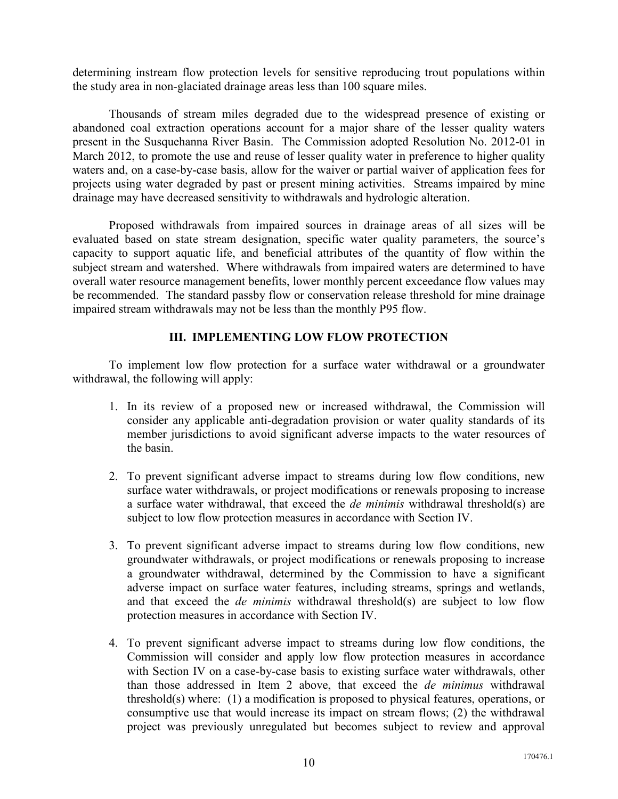determining instream flow protection levels for sensitive reproducing trout populations within the study area in non-glaciated drainage areas less than 100 square miles.

Thousands of stream miles degraded due to the widespread presence of existing or abandoned coal extraction operations account for a major share of the lesser quality waters present in the Susquehanna River Basin. The Commission adopted Resolution No. 2012-01 in March 2012, to promote the use and reuse of lesser quality water in preference to higher quality waters and, on a case-by-case basis, allow for the waiver or partial waiver of application fees for projects using water degraded by past or present mining activities. Streams impaired by mine drainage may have decreased sensitivity to withdrawals and hydrologic alteration.

Proposed withdrawals from impaired sources in drainage areas of all sizes will be evaluated based on state stream designation, specific water quality parameters, the source's capacity to support aquatic life, and beneficial attributes of the quantity of flow within the subject stream and watershed. Where withdrawals from impaired waters are determined to have overall water resource management benefits, lower monthly percent exceedance flow values may be recommended. The standard passby flow or conservation release threshold for mine drainage impaired stream withdrawals may not be less than the monthly P95 flow.

#### **III. IMPLEMENTING LOW FLOW PROTECTION**

To implement low flow protection for a surface water withdrawal or a groundwater withdrawal, the following will apply:

- 1. In its review of a proposed new or increased withdrawal, the Commission will consider any applicable anti-degradation provision or water quality standards of its member jurisdictions to avoid significant adverse impacts to the water resources of the basin.
- 2. To prevent significant adverse impact to streams during low flow conditions, new surface water withdrawals, or project modifications or renewals proposing to increase a surface water withdrawal, that exceed the *de minimis* withdrawal threshold(s) are subject to low flow protection measures in accordance with Section IV.
- 3. To prevent significant adverse impact to streams during low flow conditions, new groundwater withdrawals, or project modifications or renewals proposing to increase a groundwater withdrawal, determined by the Commission to have a significant adverse impact on surface water features, including streams, springs and wetlands, and that exceed the *de minimis* withdrawal threshold(s) are subject to low flow protection measures in accordance with Section IV.
- 4. To prevent significant adverse impact to streams during low flow conditions, the Commission will consider and apply low flow protection measures in accordance with Section IV on a case-by-case basis to existing surface water withdrawals, other than those addressed in Item 2 above, that exceed the *de minimus* withdrawal threshold(s) where: (1) a modification is proposed to physical features, operations, or consumptive use that would increase its impact on stream flows; (2) the withdrawal project was previously unregulated but becomes subject to review and approval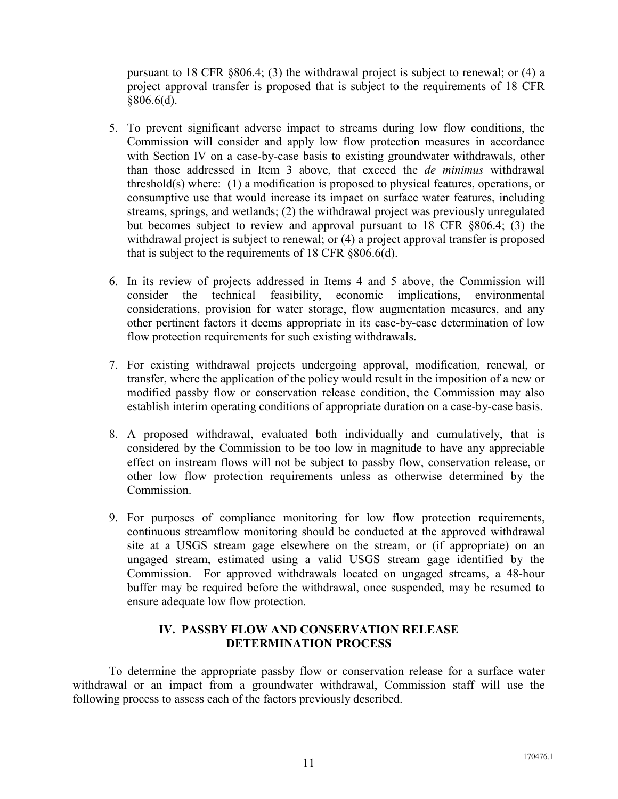pursuant to 18 CFR §806.4; (3) the withdrawal project is subject to renewal; or (4) a project approval transfer is proposed that is subject to the requirements of 18 CFR  $§806.6(d).$ 

- 5. To prevent significant adverse impact to streams during low flow conditions, the Commission will consider and apply low flow protection measures in accordance with Section IV on a case-by-case basis to existing groundwater withdrawals, other than those addressed in Item 3 above, that exceed the *de minimus* withdrawal threshold(s) where: (1) a modification is proposed to physical features, operations, or consumptive use that would increase its impact on surface water features, including streams, springs, and wetlands; (2) the withdrawal project was previously unregulated but becomes subject to review and approval pursuant to 18 CFR §806.4; (3) the withdrawal project is subject to renewal; or (4) a project approval transfer is proposed that is subject to the requirements of 18 CFR §806.6(d).
- 6. In its review of projects addressed in Items 4 and 5 above, the Commission will consider the technical feasibility, economic implications, environmental considerations, provision for water storage, flow augmentation measures, and any other pertinent factors it deems appropriate in its case-by-case determination of low flow protection requirements for such existing withdrawals.
- 7. For existing withdrawal projects undergoing approval, modification, renewal, or transfer, where the application of the policy would result in the imposition of a new or modified passby flow or conservation release condition, the Commission may also establish interim operating conditions of appropriate duration on a case-by-case basis.
- 8. A proposed withdrawal, evaluated both individually and cumulatively, that is considered by the Commission to be too low in magnitude to have any appreciable effect on instream flows will not be subject to passby flow, conservation release, or other low flow protection requirements unless as otherwise determined by the **Commission**
- 9. For purposes of compliance monitoring for low flow protection requirements, continuous streamflow monitoring should be conducted at the approved withdrawal site at a USGS stream gage elsewhere on the stream, or (if appropriate) on an ungaged stream, estimated using a valid USGS stream gage identified by the Commission. For approved withdrawals located on ungaged streams, a 48-hour buffer may be required before the withdrawal, once suspended, may be resumed to ensure adequate low flow protection.

## **IV. PASSBY FLOW AND CONSERVATION RELEASE DETERMINATION PROCESS**

 To determine the appropriate passby flow or conservation release for a surface water withdrawal or an impact from a groundwater withdrawal, Commission staff will use the following process to assess each of the factors previously described.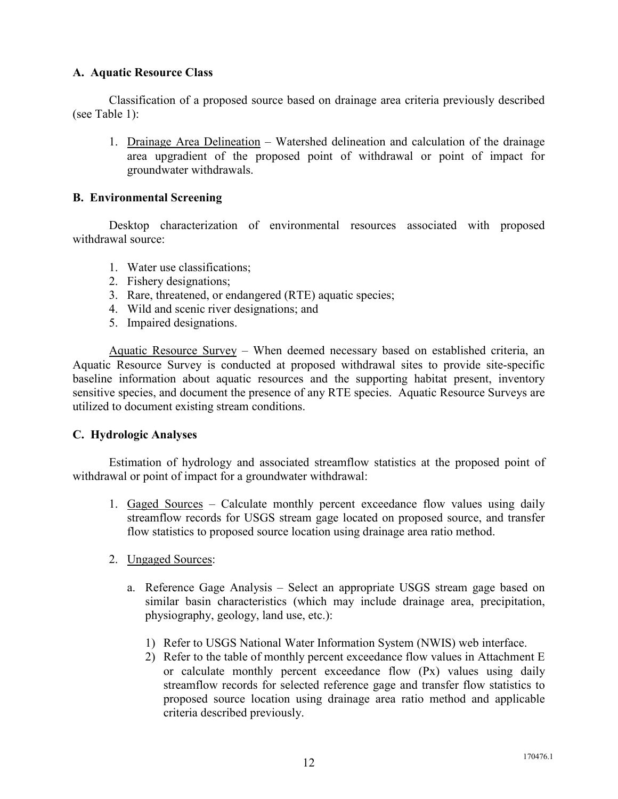### **A. Aquatic Resource Class**

 Classification of a proposed source based on drainage area criteria previously described (see Table 1):

1. Drainage Area Delineation – Watershed delineation and calculation of the drainage area upgradient of the proposed point of withdrawal or point of impact for groundwater withdrawals.

#### **B. Environmental Screening**

Desktop characterization of environmental resources associated with proposed withdrawal source:

- 1. Water use classifications;
- 2. Fishery designations;
- 3. Rare, threatened, or endangered (RTE) aquatic species;
- 4. Wild and scenic river designations; and
- 5. Impaired designations.

 Aquatic Resource Survey – When deemed necessary based on established criteria, an Aquatic Resource Survey is conducted at proposed withdrawal sites to provide site-specific baseline information about aquatic resources and the supporting habitat present, inventory sensitive species, and document the presence of any RTE species. Aquatic Resource Surveys are utilized to document existing stream conditions.

#### **C. Hydrologic Analyses**

 Estimation of hydrology and associated streamflow statistics at the proposed point of withdrawal or point of impact for a groundwater withdrawal:

- 1. Gaged Sources Calculate monthly percent exceedance flow values using daily streamflow records for USGS stream gage located on proposed source, and transfer flow statistics to proposed source location using drainage area ratio method.
- 2. Ungaged Sources:
	- a. Reference Gage Analysis Select an appropriate USGS stream gage based on similar basin characteristics (which may include drainage area, precipitation, physiography, geology, land use, etc.):
		- 1) Refer to USGS National Water Information System (NWIS) web interface.
		- 2) Refer to the table of monthly percent exceedance flow values in Attachment E or calculate monthly percent exceedance flow (Px) values using daily streamflow records for selected reference gage and transfer flow statistics to proposed source location using drainage area ratio method and applicable criteria described previously.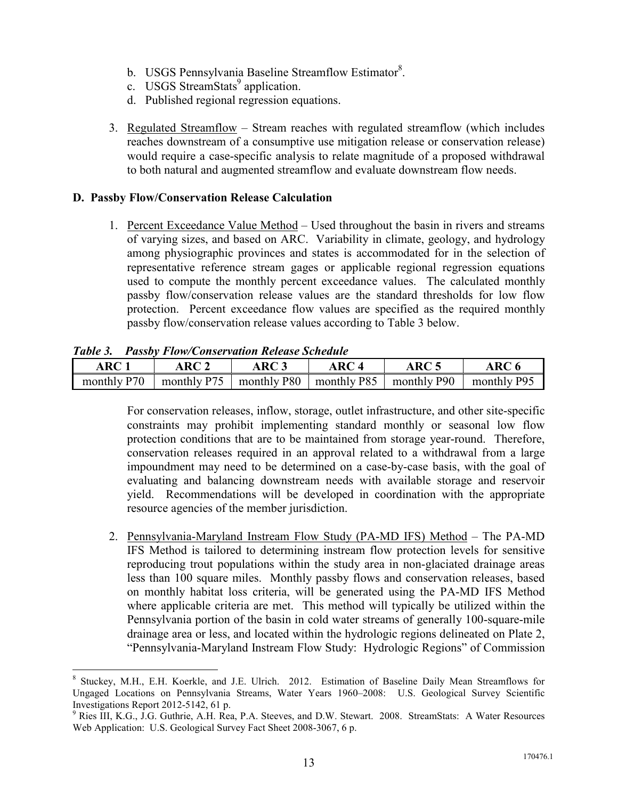- b. USGS Pennsylvania Baseline Streamflow Estimator<sup>8</sup>.
- c. USGS StreamStats<sup>9</sup> application.
- d. Published regional regression equations.
- 3. Regulated Streamflow Stream reaches with regulated streamflow (which includes reaches downstream of a consumptive use mitigation release or conservation release) would require a case-specific analysis to relate magnitude of a proposed withdrawal to both natural and augmented streamflow and evaluate downstream flow needs.

#### **D. Passby Flow/Conservation Release Calculation**

1. Percent Exceedance Value Method – Used throughout the basin in rivers and streams of varying sizes, and based on ARC. Variability in climate, geology, and hydrology among physiographic provinces and states is accommodated for in the selection of representative reference stream gages or applicable regional regression equations used to compute the monthly percent exceedance values. The calculated monthly passby flow/conservation release values are the standard thresholds for low flow protection. Percent exceedance flow values are specified as the required monthly passby flow/conservation release values according to Table 3 below.

#### *Table 3. Passby Flow/Conservation Release Schedule*

-

| ARC <sup>†</sup> | $\triangle$ RC $\hat{\ }$ | ARC 3       | ARC 4       | ARC         | ${\bf ARC}$ ( |
|------------------|---------------------------|-------------|-------------|-------------|---------------|
| monthly P70      | monthly P75               | monthly P80 | monthly P85 | monthly P90 | monthly P95   |

For conservation releases, inflow, storage, outlet infrastructure, and other site-specific constraints may prohibit implementing standard monthly or seasonal low flow protection conditions that are to be maintained from storage year-round. Therefore, conservation releases required in an approval related to a withdrawal from a large impoundment may need to be determined on a case-by-case basis, with the goal of evaluating and balancing downstream needs with available storage and reservoir yield. Recommendations will be developed in coordination with the appropriate resource agencies of the member jurisdiction.

2. Pennsylvania-Maryland Instream Flow Study (PA-MD IFS) Method – The PA-MD IFS Method is tailored to determining instream flow protection levels for sensitive reproducing trout populations within the study area in non-glaciated drainage areas less than 100 square miles. Monthly passby flows and conservation releases, based on monthly habitat loss criteria, will be generated using the PA-MD IFS Method where applicable criteria are met. This method will typically be utilized within the Pennsylvania portion of the basin in cold water streams of generally 100-square-mile drainage area or less, and located within the hydrologic regions delineated on Plate 2, "Pennsylvania-Maryland Instream Flow Study: Hydrologic Regions" of Commission

<sup>&</sup>lt;sup>8</sup> Stuckey, M.H., E.H. Koerkle, and J.E. Ulrich. 2012. Estimation of Baseline Daily Mean Streamflows for Ungaged Locations on Pennsylvania Streams, Water Years 1960–2008: U.S. Geological Survey Scientific Investigations Report 2012-5142, 61 p.

<sup>&</sup>lt;sup>9</sup> Ries III, K.G., J.G. Guthrie, A.H. Rea, P.A. Steeves, and D.W. Stewart. 2008. StreamStats: A Water Resources Web Application: U.S. Geological Survey Fact Sheet 2008-3067, 6 p.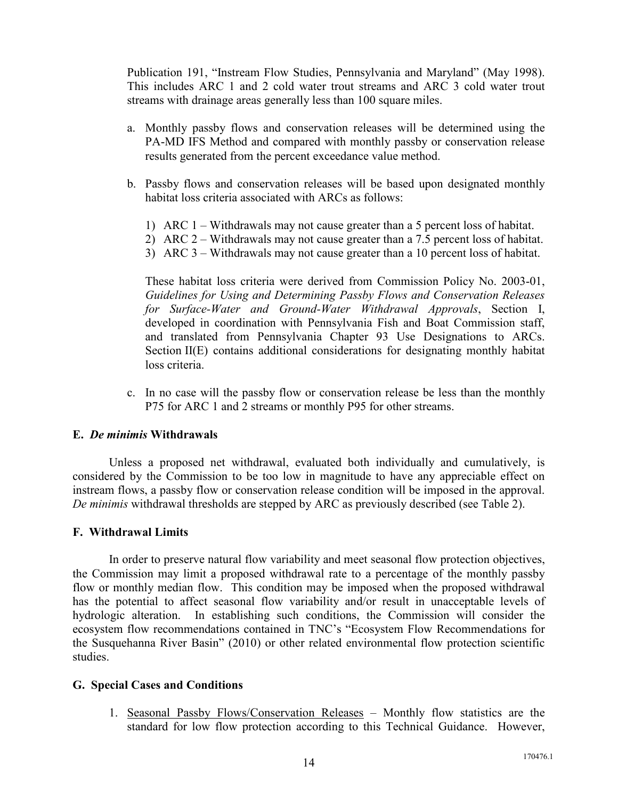Publication 191, "Instream Flow Studies, Pennsylvania and Maryland" (May 1998). This includes ARC 1 and 2 cold water trout streams and ARC 3 cold water trout streams with drainage areas generally less than 100 square miles.

- a. Monthly passby flows and conservation releases will be determined using the PA-MD IFS Method and compared with monthly passby or conservation release results generated from the percent exceedance value method.
- b. Passby flows and conservation releases will be based upon designated monthly habitat loss criteria associated with ARCs as follows:
	- 1) ARC 1 Withdrawals may not cause greater than a 5 percent loss of habitat.
	- 2) ARC 2 Withdrawals may not cause greater than a 7.5 percent loss of habitat.
	- 3) ARC 3 Withdrawals may not cause greater than a 10 percent loss of habitat.

These habitat loss criteria were derived from Commission Policy No. 2003-01, *Guidelines for Using and Determining Passby Flows and Conservation Releases for Surface-Water and Ground-Water Withdrawal Approvals*, Section I, developed in coordination with Pennsylvania Fish and Boat Commission staff, and translated from Pennsylvania Chapter 93 Use Designations to ARCs. Section II(E) contains additional considerations for designating monthly habitat loss criteria.

c. In no case will the passby flow or conservation release be less than the monthly P75 for ARC 1 and 2 streams or monthly P95 for other streams.

#### **E.** *De minimis* **Withdrawals**

Unless a proposed net withdrawal, evaluated both individually and cumulatively, is considered by the Commission to be too low in magnitude to have any appreciable effect on instream flows, a passby flow or conservation release condition will be imposed in the approval. *De minimis* withdrawal thresholds are stepped by ARC as previously described (see Table 2).

#### **F. Withdrawal Limits**

 In order to preserve natural flow variability and meet seasonal flow protection objectives, the Commission may limit a proposed withdrawal rate to a percentage of the monthly passby flow or monthly median flow. This condition may be imposed when the proposed withdrawal has the potential to affect seasonal flow variability and/or result in unacceptable levels of hydrologic alteration. In establishing such conditions, the Commission will consider the ecosystem flow recommendations contained in TNC's "Ecosystem Flow Recommendations for the Susquehanna River Basin" (2010) or other related environmental flow protection scientific studies.

#### **G. Special Cases and Conditions**

1. Seasonal Passby Flows/Conservation Releases – Monthly flow statistics are the standard for low flow protection according to this Technical Guidance. However,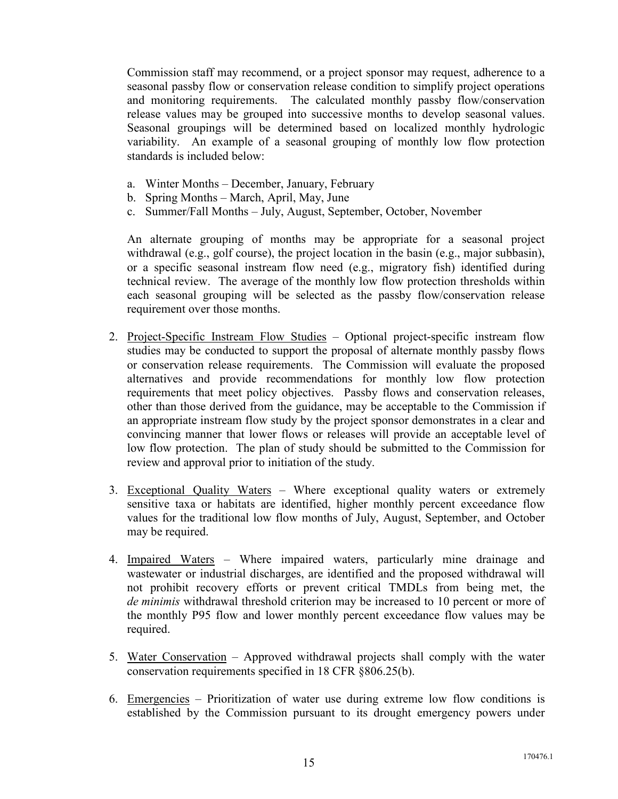Commission staff may recommend, or a project sponsor may request, adherence to a seasonal passby flow or conservation release condition to simplify project operations and monitoring requirements. The calculated monthly passby flow/conservation release values may be grouped into successive months to develop seasonal values. Seasonal groupings will be determined based on localized monthly hydrologic variability. An example of a seasonal grouping of monthly low flow protection standards is included below:

- a. Winter Months December, January, February
- b. Spring Months March, April, May, June
- c. Summer/Fall Months July, August, September, October, November

An alternate grouping of months may be appropriate for a seasonal project withdrawal (e.g., golf course), the project location in the basin (e.g., major subbasin), or a specific seasonal instream flow need (e.g., migratory fish) identified during technical review. The average of the monthly low flow protection thresholds within each seasonal grouping will be selected as the passby flow/conservation release requirement over those months.

- 2. Project-Specific Instream Flow Studies Optional project-specific instream flow studies may be conducted to support the proposal of alternate monthly passby flows or conservation release requirements. The Commission will evaluate the proposed alternatives and provide recommendations for monthly low flow protection requirements that meet policy objectives. Passby flows and conservation releases, other than those derived from the guidance, may be acceptable to the Commission if an appropriate instream flow study by the project sponsor demonstrates in a clear and convincing manner that lower flows or releases will provide an acceptable level of low flow protection. The plan of study should be submitted to the Commission for review and approval prior to initiation of the study.
- 3. Exceptional Quality Waters Where exceptional quality waters or extremely sensitive taxa or habitats are identified, higher monthly percent exceedance flow values for the traditional low flow months of July, August, September, and October may be required.
- 4. Impaired Waters Where impaired waters, particularly mine drainage and wastewater or industrial discharges, are identified and the proposed withdrawal will not prohibit recovery efforts or prevent critical TMDLs from being met, the *de minimis* withdrawal threshold criterion may be increased to 10 percent or more of the monthly P95 flow and lower monthly percent exceedance flow values may be required.
- 5. Water Conservation Approved withdrawal projects shall comply with the water conservation requirements specified in 18 CFR §806.25(b).
- 6. Emergencies Prioritization of water use during extreme low flow conditions is established by the Commission pursuant to its drought emergency powers under